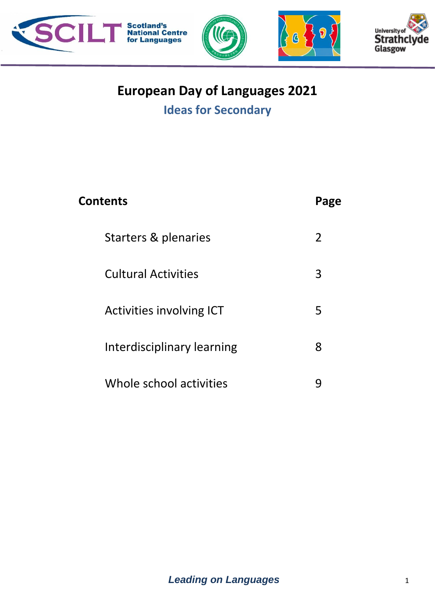







# **European Day of Languages 2021**

# **Ideas for Secondary**

| <b>Contents</b>            | Page |
|----------------------------|------|
| Starters & plenaries       | 2    |
| <b>Cultural Activities</b> | 3    |
| Activities involving ICT   | 5    |
| Interdisciplinary learning | 8    |
| Whole school activities    |      |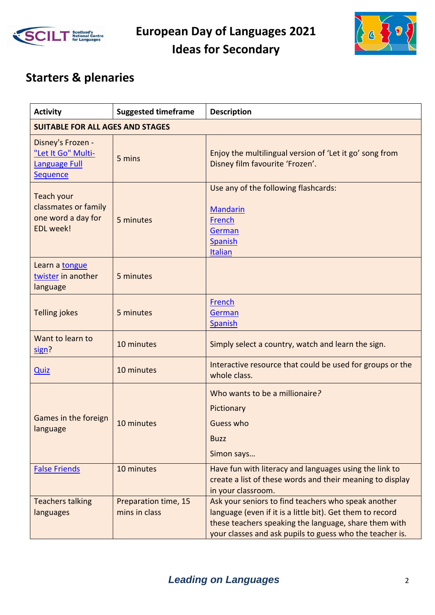



# **Starters & plenaries**

| <b>Activity</b>                                                              | <b>Suggested timeframe</b>              | <b>Description</b>                                                                                                                                                                                                                    |  |
|------------------------------------------------------------------------------|-----------------------------------------|---------------------------------------------------------------------------------------------------------------------------------------------------------------------------------------------------------------------------------------|--|
|                                                                              | <b>SUITABLE FOR ALL AGES AND STAGES</b> |                                                                                                                                                                                                                                       |  |
| Disney's Frozen -<br>"Let It Go" Multi-<br><b>Language Full</b><br>Sequence  | 5 mins                                  | Enjoy the multilingual version of 'Let it go' song from<br>Disney film favourite 'Frozen'.                                                                                                                                            |  |
| Teach your<br>classmates or family<br>one word a day for<br><b>EDL</b> week! | 5 minutes                               | Use any of the following flashcards:<br><b>Mandarin</b><br>French<br>German<br><b>Spanish</b><br><b>Italian</b>                                                                                                                       |  |
| Learn a tongue<br>twister in another<br>language                             | 5 minutes                               |                                                                                                                                                                                                                                       |  |
| <b>Telling jokes</b>                                                         | 5 minutes                               | French<br>German<br><b>Spanish</b>                                                                                                                                                                                                    |  |
| Want to learn to<br>sign?                                                    | 10 minutes                              | Simply select a country, watch and learn the sign.                                                                                                                                                                                    |  |
| <b>Quiz</b>                                                                  | 10 minutes                              | Interactive resource that could be used for groups or the<br>whole class.                                                                                                                                                             |  |
| Games in the foreign<br>language                                             | 10 minutes                              | Who wants to be a millionaire?<br>Pictionary<br>Guess who<br><b>Buzz</b><br>Simon says                                                                                                                                                |  |
| <b>False Friends</b>                                                         | 10 minutes                              | Have fun with literacy and languages using the link to<br>create a list of these words and their meaning to display<br>in your classroom.                                                                                             |  |
| <b>Teachers talking</b><br>languages                                         | Preparation time, 15<br>mins in class   | Ask your seniors to find teachers who speak another<br>language (even if it is a little bit). Get them to record<br>these teachers speaking the language, share them with<br>your classes and ask pupils to guess who the teacher is. |  |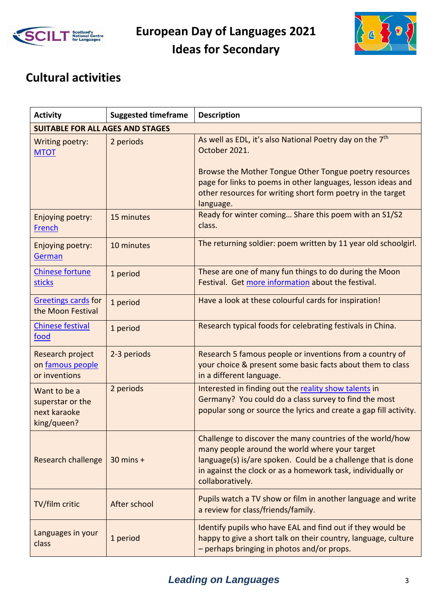



### **Cultural activities**

| <b>Activity</b>                                                 | <b>Suggested timeframe</b> | <b>Description</b>                                                                                                                                                                                                                                                                          |
|-----------------------------------------------------------------|----------------------------|---------------------------------------------------------------------------------------------------------------------------------------------------------------------------------------------------------------------------------------------------------------------------------------------|
| <b>SUITABLE FOR ALL AGES AND STAGES</b>                         |                            |                                                                                                                                                                                                                                                                                             |
| Writing poetry:<br><b>MTOT</b>                                  | 2 periods                  | As well as EDL, it's also National Poetry day on the 7 <sup>th</sup><br>October 2021.<br>Browse the Mother Tongue Other Tongue poetry resources<br>page for links to poems in other languages, lesson ideas and<br>other resources for writing short form poetry in the target<br>language. |
| Enjoying poetry:<br>French                                      | 15 minutes                 | Ready for winter coming Share this poem with an S1/S2<br>class.                                                                                                                                                                                                                             |
| Enjoying poetry:<br>German                                      | 10 minutes                 | The returning soldier: poem written by 11 year old schoolgirl.                                                                                                                                                                                                                              |
| <b>Chinese fortune</b><br>sticks                                | 1 period                   | These are one of many fun things to do during the Moon<br>Festival. Get more information about the festival.                                                                                                                                                                                |
| <b>Greetings cards for</b><br>the Moon Festival                 | 1 period                   | Have a look at these colourful cards for inspiration!                                                                                                                                                                                                                                       |
| <b>Chinese festival</b><br>food                                 | 1 period                   | Research typical foods for celebrating festivals in China.                                                                                                                                                                                                                                  |
| Research project<br>on famous people<br>or inventions           | 2-3 periods                | Research 5 famous people or inventions from a country of<br>your choice & present some basic facts about them to class<br>in a different language.                                                                                                                                          |
| Want to be a<br>superstar or the<br>next karaoke<br>king/queen? | 2 periods                  | Interested in finding out the reality show talents in<br>Germany? You could do a class survey to find the most<br>popular song or source the lyrics and create a gap fill activity.                                                                                                         |
| <b>Research challenge</b>                                       | $30$ mins +                | Challenge to discover the many countries of the world/how<br>many people around the world where your target<br>language(s) is/are spoken. Could be a challenge that is done<br>in against the clock or as a homework task, individually or<br>collaboratively.                              |
| TV/film critic                                                  | After school               | Pupils watch a TV show or film in another language and write<br>a review for class/friends/family.                                                                                                                                                                                          |
| Languages in your<br>class                                      | 1 period                   | Identify pupils who have EAL and find out if they would be<br>happy to give a short talk on their country, language, culture<br>- perhaps bringing in photos and/or props.                                                                                                                  |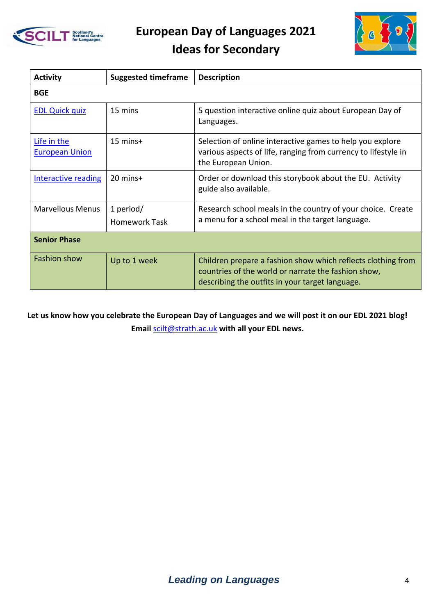

**European Day of Languages 2021**



# **Ideas for Secondary**

| <b>Activity</b>                      | <b>Suggested timeframe</b>        | <b>Description</b>                                                                                                                                                     |
|--------------------------------------|-----------------------------------|------------------------------------------------------------------------------------------------------------------------------------------------------------------------|
| <b>BGE</b>                           |                                   |                                                                                                                                                                        |
| <b>EDL Quick quiz</b>                | 15 mins                           | 5 question interactive online quiz about European Day of<br>Languages.                                                                                                 |
| Life in the<br><b>European Union</b> | $15 \text{ mins}+$                | Selection of online interactive games to help you explore<br>various aspects of life, ranging from currency to lifestyle in<br>the European Union.                     |
| <b>Interactive reading</b>           | $20$ mins+                        | Order or download this storybook about the EU. Activity<br>guide also available.                                                                                       |
| <b>Marvellous Menus</b>              | 1 period/<br><b>Homework Task</b> | Research school meals in the country of your choice. Create<br>a menu for a school meal in the target language.                                                        |
| <b>Senior Phase</b>                  |                                   |                                                                                                                                                                        |
| <b>Fashion show</b>                  | Up to 1 week                      | Children prepare a fashion show which reflects clothing from<br>countries of the world or narrate the fashion show,<br>describing the outfits in your target language. |

**Let us know how you celebrate the European Day of Languages and we will post it on our EDL 2021 blog! Email** [scilt@strath.ac.uk](mailto:scilt@strath.ac.uk) **with all your EDL news.**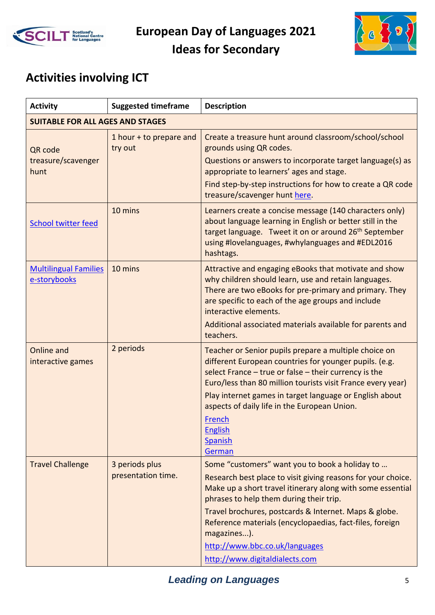



# **Activities involving ICT**

| <b>Activity</b>                              | <b>Suggested timeframe</b>           | <b>Description</b>                                                                                                                                                                                                                                                                                                                                                                                                              |
|----------------------------------------------|--------------------------------------|---------------------------------------------------------------------------------------------------------------------------------------------------------------------------------------------------------------------------------------------------------------------------------------------------------------------------------------------------------------------------------------------------------------------------------|
| <b>SUITABLE FOR ALL AGES AND STAGES</b>      |                                      |                                                                                                                                                                                                                                                                                                                                                                                                                                 |
| QR code<br>treasure/scavenger<br>hunt        | 1 hour + to prepare and<br>try out   | Create a treasure hunt around classroom/school/school<br>grounds using QR codes.<br>Questions or answers to incorporate target language(s) as<br>appropriate to learners' ages and stage.<br>Find step-by-step instructions for how to create a QR code<br>treasure/scavenger hunt here.                                                                                                                                        |
| <b>School twitter feed</b>                   | 10 mins                              | Learners create a concise message (140 characters only)<br>about language learning in English or better still in the<br>target language. Tweet it on or around 26 <sup>th</sup> September<br>using #lovelanguages, #whylanguages and #EDL2016<br>hashtags.                                                                                                                                                                      |
| <b>Multilingual Families</b><br>e-storybooks | 10 mins                              | Attractive and engaging eBooks that motivate and show<br>why children should learn, use and retain languages.<br>There are two eBooks for pre-primary and primary. They<br>are specific to each of the age groups and include<br>interactive elements.<br>Additional associated materials available for parents and<br>teachers.                                                                                                |
| Online and<br>interactive games              | 2 periods                            | Teacher or Senior pupils prepare a multiple choice on<br>different European countries for younger pupils. (e.g.<br>select France $-$ true or false $-$ their currency is the<br>Euro/less than 80 million tourists visit France every year)<br>Play internet games in target language or English about<br>aspects of daily life in the European Union.<br>French<br><b>English</b><br><b>Spanish</b><br>German                  |
| <b>Travel Challenge</b>                      | 3 periods plus<br>presentation time. | Some "customers" want you to book a holiday to<br>Research best place to visit giving reasons for your choice.<br>Make up a short travel itinerary along with some essential<br>phrases to help them during their trip.<br>Travel brochures, postcards & Internet. Maps & globe.<br>Reference materials (encyclopaedias, fact-files, foreign<br>magazines).<br>http://www.bbc.co.uk/languages<br>http://www.digitaldialects.com |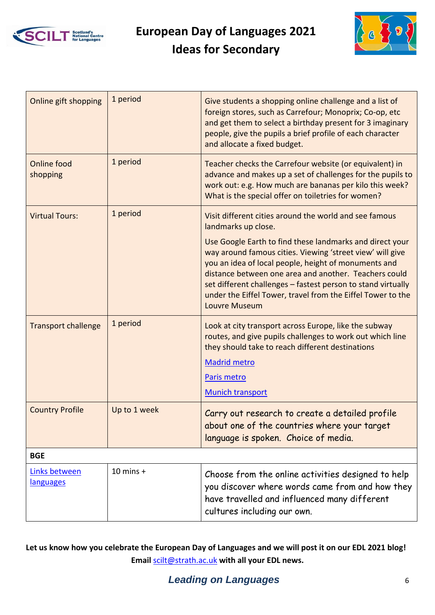



| Online gift shopping           | 1 period     | Give students a shopping online challenge and a list of<br>foreign stores, such as Carrefour; Monoprix; Co-op, etc<br>and get them to select a birthday present for 3 imaginary<br>people, give the pupils a brief profile of each character<br>and allocate a fixed budget.                                                                                                                  |
|--------------------------------|--------------|-----------------------------------------------------------------------------------------------------------------------------------------------------------------------------------------------------------------------------------------------------------------------------------------------------------------------------------------------------------------------------------------------|
| <b>Online food</b><br>shopping | 1 period     | Teacher checks the Carrefour website (or equivalent) in<br>advance and makes up a set of challenges for the pupils to<br>work out: e.g. How much are bananas per kilo this week?<br>What is the special offer on toiletries for women?                                                                                                                                                        |
| <b>Virtual Tours:</b>          | 1 period     | Visit different cities around the world and see famous<br>landmarks up close.                                                                                                                                                                                                                                                                                                                 |
|                                |              | Use Google Earth to find these landmarks and direct your<br>way around famous cities. Viewing 'street view' will give<br>you an idea of local people, height of monuments and<br>distance between one area and another. Teachers could<br>set different challenges - fastest person to stand virtually<br>under the Eiffel Tower, travel from the Eiffel Tower to the<br><b>Louvre Museum</b> |
| <b>Transport challenge</b>     | 1 period     | Look at city transport across Europe, like the subway<br>routes, and give pupils challenges to work out which line<br>they should take to reach different destinations                                                                                                                                                                                                                        |
|                                |              | <b>Madrid metro</b>                                                                                                                                                                                                                                                                                                                                                                           |
|                                |              | Paris metro                                                                                                                                                                                                                                                                                                                                                                                   |
|                                |              | <b>Munich transport</b>                                                                                                                                                                                                                                                                                                                                                                       |
| <b>Country Profile</b>         | Up to 1 week | Carry out research to create a detailed profile<br>about one of the countries where your target<br>language is spoken. Choice of media.                                                                                                                                                                                                                                                       |
| <b>BGE</b>                     |              |                                                                                                                                                                                                                                                                                                                                                                                               |
| Links between<br>languages     | $10$ mins +  | Choose from the online activities designed to help<br>you discover where words came from and how they<br>have travelled and influenced many different<br>cultures including our own.                                                                                                                                                                                                          |

**Let us know how you celebrate the European Day of Languages and we will post it on our EDL 2021 blog! Email** [scilt@strath.ac.uk](mailto:scilt@strath.ac.uk) **with all your EDL news.**

#### **Leading on Languages** 6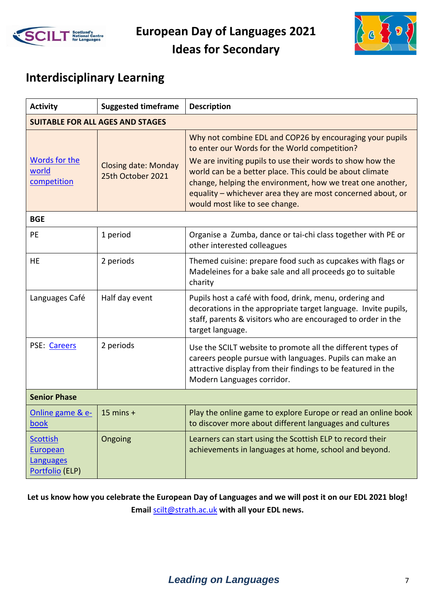



#### **Interdisciplinary Learning**

| <b>Activity</b>                                                    | <b>Suggested timeframe</b>                       | <b>Description</b>                                                                                                                                                                                                                                                                                                                                                                                |  |
|--------------------------------------------------------------------|--------------------------------------------------|---------------------------------------------------------------------------------------------------------------------------------------------------------------------------------------------------------------------------------------------------------------------------------------------------------------------------------------------------------------------------------------------------|--|
|                                                                    | <b>SUITABLE FOR ALL AGES AND STAGES</b>          |                                                                                                                                                                                                                                                                                                                                                                                                   |  |
| Words for the<br>world<br>competition                              | <b>Closing date: Monday</b><br>25th October 2021 | Why not combine EDL and COP26 by encouraging your pupils<br>to enter our Words for the World competition?<br>We are inviting pupils to use their words to show how the<br>world can be a better place. This could be about climate<br>change, helping the environment, how we treat one another,<br>equality - whichever area they are most concerned about, or<br>would most like to see change. |  |
| <b>BGE</b>                                                         |                                                  |                                                                                                                                                                                                                                                                                                                                                                                                   |  |
| PE                                                                 | 1 period                                         | Organise a Zumba, dance or tai-chi class together with PE or<br>other interested colleagues                                                                                                                                                                                                                                                                                                       |  |
| <b>HE</b>                                                          | 2 periods                                        | Themed cuisine: prepare food such as cupcakes with flags or<br>Madeleines for a bake sale and all proceeds go to suitable<br>charity                                                                                                                                                                                                                                                              |  |
| Languages Café                                                     | Half day event                                   | Pupils host a café with food, drink, menu, ordering and<br>decorations in the appropriate target language. Invite pupils,<br>staff, parents & visitors who are encouraged to order in the<br>target language.                                                                                                                                                                                     |  |
| PSE: Careers                                                       | 2 periods                                        | Use the SCILT website to promote all the different types of<br>careers people pursue with languages. Pupils can make an<br>attractive display from their findings to be featured in the<br>Modern Languages corridor.                                                                                                                                                                             |  |
| <b>Senior Phase</b>                                                |                                                  |                                                                                                                                                                                                                                                                                                                                                                                                   |  |
| Online game & e-<br>book                                           | $15$ mins +                                      | Play the online game to explore Europe or read an online book<br>to discover more about different languages and cultures                                                                                                                                                                                                                                                                          |  |
| <b>Scottish</b><br>European<br><b>Languages</b><br>Portfolio (ELP) | Ongoing                                          | Learners can start using the Scottish ELP to record their<br>achievements in languages at home, school and beyond.                                                                                                                                                                                                                                                                                |  |

**Let us know how you celebrate the European Day of Languages and we will post it on our EDL 2021 blog! Email** [scilt@strath.ac.uk](mailto:scilt@strath.ac.uk) **with all your EDL news.**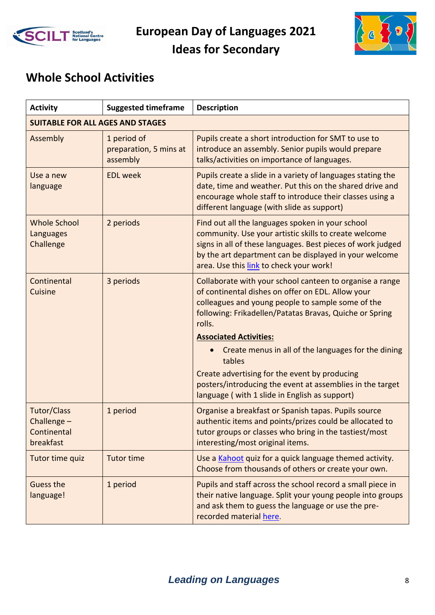



#### **Whole School Activities**

| <b>Activity</b>                                        | <b>Suggested timeframe</b>                        | <b>Description</b>                                                                                                                                                                                                                                                            |  |
|--------------------------------------------------------|---------------------------------------------------|-------------------------------------------------------------------------------------------------------------------------------------------------------------------------------------------------------------------------------------------------------------------------------|--|
|                                                        | <b>SUITABLE FOR ALL AGES AND STAGES</b>           |                                                                                                                                                                                                                                                                               |  |
| Assembly                                               | 1 period of<br>preparation, 5 mins at<br>assembly | Pupils create a short introduction for SMT to use to<br>introduce an assembly. Senior pupils would prepare<br>talks/activities on importance of languages.                                                                                                                    |  |
| Use a new<br>language                                  | <b>EDL</b> week                                   | Pupils create a slide in a variety of languages stating the<br>date, time and weather. Put this on the shared drive and<br>encourage whole staff to introduce their classes using a<br>different language (with slide as support)                                             |  |
| <b>Whole School</b><br>Languages<br>Challenge          | 2 periods                                         | Find out all the languages spoken in your school<br>community. Use your artistic skills to create welcome<br>signs in all of these languages. Best pieces of work judged<br>by the art department can be displayed in your welcome<br>area. Use this link to check your work! |  |
| Continental<br>Cuisine                                 | 3 periods                                         | Collaborate with your school canteen to organise a range<br>of continental dishes on offer on EDL. Allow your<br>colleagues and young people to sample some of the<br>following: Frikadellen/Patatas Bravas, Quiche or Spring<br>rolls.                                       |  |
|                                                        |                                                   | <b>Associated Activities:</b>                                                                                                                                                                                                                                                 |  |
|                                                        |                                                   | Create menus in all of the languages for the dining<br>tables                                                                                                                                                                                                                 |  |
|                                                        |                                                   | Create advertising for the event by producing<br>posters/introducing the event at assemblies in the target<br>language (with 1 slide in English as support)                                                                                                                   |  |
| Tutor/Class<br>Challenge -<br>Continental<br>breakfast | 1 period                                          | Organise a breakfast or Spanish tapas. Pupils source<br>authentic items and points/prizes could be allocated to<br>tutor groups or classes who bring in the tastiest/most<br>interesting/most original items.                                                                 |  |
| Tutor time quiz                                        | <b>Tutor time</b>                                 | Use a Kahoot quiz for a quick language themed activity.<br>Choose from thousands of others or create your own.                                                                                                                                                                |  |
| Guess the<br>language!                                 | 1 period                                          | Pupils and staff across the school record a small piece in<br>their native language. Split your young people into groups<br>and ask them to guess the language or use the pre-<br>recorded material here.                                                                     |  |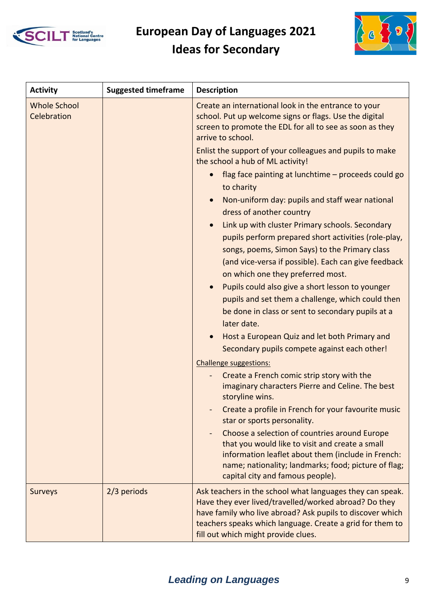



| <b>Activity</b>                    | <b>Suggested timeframe</b> | <b>Description</b>                                                                                                                                                                                                                                                                                                                                                                                                                                                                                                                                                    |
|------------------------------------|----------------------------|-----------------------------------------------------------------------------------------------------------------------------------------------------------------------------------------------------------------------------------------------------------------------------------------------------------------------------------------------------------------------------------------------------------------------------------------------------------------------------------------------------------------------------------------------------------------------|
| <b>Whole School</b><br>Celebration |                            | Create an international look in the entrance to your<br>school. Put up welcome signs or flags. Use the digital<br>screen to promote the EDL for all to see as soon as they<br>arrive to school.                                                                                                                                                                                                                                                                                                                                                                       |
|                                    |                            | Enlist the support of your colleagues and pupils to make<br>the school a hub of ML activity!                                                                                                                                                                                                                                                                                                                                                                                                                                                                          |
|                                    |                            | flag face painting at lunchtime - proceeds could go<br>to charity                                                                                                                                                                                                                                                                                                                                                                                                                                                                                                     |
|                                    |                            | Non-uniform day: pupils and staff wear national<br>dress of another country                                                                                                                                                                                                                                                                                                                                                                                                                                                                                           |
|                                    |                            | Link up with cluster Primary schools. Secondary<br>pupils perform prepared short activities (role-play,<br>songs, poems, Simon Says) to the Primary class<br>(and vice-versa if possible). Each can give feedback<br>on which one they preferred most.<br>Pupils could also give a short lesson to younger<br>pupils and set them a challenge, which could then<br>be done in class or sent to secondary pupils at a<br>later date.<br>Host a European Quiz and let both Primary and<br>Secondary pupils compete against each other!<br><b>Challenge suggestions:</b> |
|                                    |                            | Create a French comic strip story with the<br>imaginary characters Pierre and Celine. The best<br>storyline wins.                                                                                                                                                                                                                                                                                                                                                                                                                                                     |
|                                    |                            | Create a profile in French for your favourite music<br>star or sports personality.                                                                                                                                                                                                                                                                                                                                                                                                                                                                                    |
|                                    |                            | Choose a selection of countries around Europe<br>that you would like to visit and create a small<br>information leaflet about them (include in French:<br>name; nationality; landmarks; food; picture of flag;<br>capital city and famous people).                                                                                                                                                                                                                                                                                                                    |
| <b>Surveys</b>                     | 2/3 periods                | Ask teachers in the school what languages they can speak.<br>Have they ever lived/travelled/worked abroad? Do they<br>have family who live abroad? Ask pupils to discover which<br>teachers speaks which language. Create a grid for them to<br>fill out which might provide clues.                                                                                                                                                                                                                                                                                   |